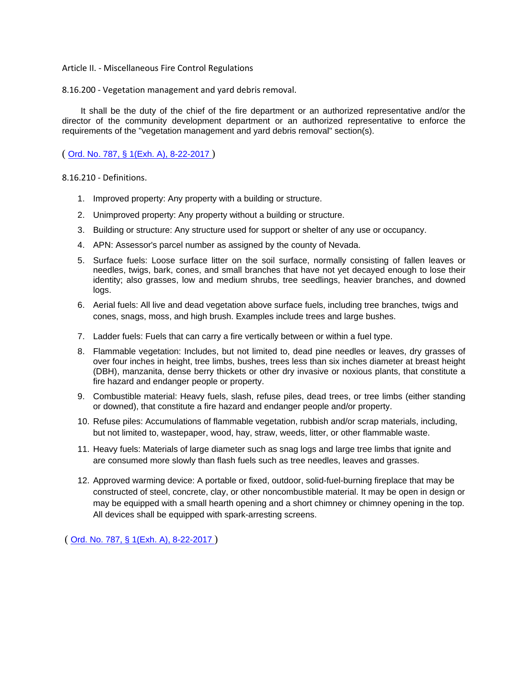## Article II. - Miscellaneous Fire Control Regulations

8.16.200 - Vegetation management and yard debris removal.

It shall be the duty of the chief of the fire department or an authorized representative and/or the director of the community development department or an authorized representative to enforce the requirements of the "vegetation management and yard debris removal" section(s).

( [Ord. No. 787, § 1\(Exh. A\), 8-22-2017](http://newords.municode.com/readordinance.aspx?ordinanceid=856651&datasource=ordbank) )

8.16.210 - Definitions.

- 1. Improved property: Any property with a building or structure.
- 2. Unimproved property: Any property without a building or structure.
- 3. Building or structure: Any structure used for support or shelter of any use or occupancy.
- 4. APN: Assessor's parcel number as assigned by the county of Nevada.
- 5. Surface fuels: Loose surface litter on the soil surface, normally consisting of fallen leaves or needles, twigs, bark, cones, and small branches that have not yet decayed enough to lose their identity; also grasses, low and medium shrubs, tree seedlings, heavier branches, and downed logs.
- 6. Aerial fuels: All live and dead vegetation above surface fuels, including tree branches, twigs and cones, snags, moss, and high brush. Examples include trees and large bushes.
- 7. Ladder fuels: Fuels that can carry a fire vertically between or within a fuel type.
- 8. Flammable vegetation: Includes, but not limited to, dead pine needles or leaves, dry grasses of over four inches in height, tree limbs, bushes, trees less than six inches diameter at breast height (DBH), manzanita, dense berry thickets or other dry invasive or noxious plants, that constitute a fire hazard and endanger people or property.
- 9. Combustible material: Heavy fuels, slash, refuse piles, dead trees, or tree limbs (either standing or downed), that constitute a fire hazard and endanger people and/or property.
- 10. Refuse piles: Accumulations of flammable vegetation, rubbish and/or scrap materials, including, but not limited to, wastepaper, wood, hay, straw, weeds, litter, or other flammable waste.
- 11. Heavy fuels: Materials of large diameter such as snag logs and large tree limbs that ignite and are consumed more slowly than flash fuels such as tree needles, leaves and grasses.
- 12. Approved warming device: A portable or fixed, outdoor, solid-fuel-burning fireplace that may be constructed of steel, concrete, clay, or other noncombustible material. It may be open in design or may be equipped with a small hearth opening and a short chimney or chimney opening in the top. All devices shall be equipped with spark-arresting screens.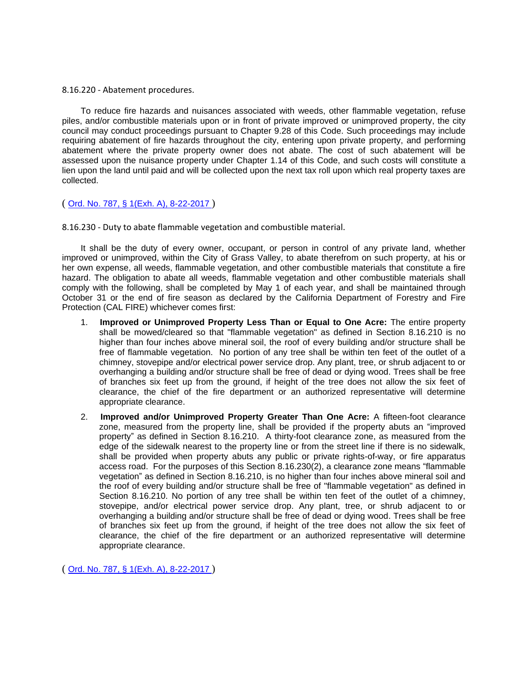8.16.220 - Abatement procedures.

To reduce fire hazards and nuisances associated with weeds, other flammable vegetation, refuse piles, and/or combustible materials upon or in front of private improved or unimproved property, the city council may conduct proceedings pursuant to Chapter 9.28 of this Code. Such proceedings may include requiring abatement of fire hazards throughout the city, entering upon private property, and performing abatement where the private property owner does not abate. The cost of such abatement will be assessed upon the nuisance property under Chapter 1.14 of this Code, and such costs will constitute a lien upon the land until paid and will be collected upon the next tax roll upon which real property taxes are collected.

## ( [Ord. No. 787, § 1\(Exh. A\), 8-22-2017](http://newords.municode.com/readordinance.aspx?ordinanceid=856651&datasource=ordbank) )

8.16.230 - Duty to abate flammable vegetation and combustible material.

It shall be the duty of every owner, occupant, or person in control of any private land, whether improved or unimproved, within the City of Grass Valley, to abate therefrom on such property, at his or her own expense, all weeds, flammable vegetation, and other combustible materials that constitute a fire hazard. The obligation to abate all weeds, flammable vegetation and other combustible materials shall comply with the following, shall be completed by May 1 of each year, and shall be maintained through October 31 or the end of fire season as declared by the California Department of Forestry and Fire Protection (CAL FIRE) whichever comes first:

- 1. **Improved or Unimproved Property Less Than or Equal to One Acre:** The entire property shall be mowed/cleared so that "flammable vegetation" as defined in Section 8.16.210 is no higher than four inches above mineral soil, the roof of every building and/or structure shall be free of flammable vegetation. No portion of any tree shall be within ten feet of the outlet of a chimney, stovepipe and/or electrical power service drop. Any plant, tree, or shrub adjacent to or overhanging a building and/or structure shall be free of dead or dying wood. Trees shall be free of branches six feet up from the ground, if height of the tree does not allow the six feet of clearance, the chief of the fire department or an authorized representative will determine appropriate clearance.
- 2. **Improved and/or Unimproved Property Greater Than One Acre:** A fifteen-foot clearance zone, measured from the property line, shall be provided if the property abuts an "improved property" as defined in Section 8.16.210. A thirty-foot clearance zone, as measured from the edge of the sidewalk nearest to the property line or from the street line if there is no sidewalk, shall be provided when property abuts any public or private rights-of-way, or fire apparatus access road. For the purposes of this Section 8.16.230(2), a clearance zone means "flammable vegetation" as defined in Section 8.16.210, is no higher than four inches above mineral soil and the roof of every building and/or structure shall be free of "flammable vegetation" as defined in Section 8.16.210. No portion of any tree shall be within ten feet of the outlet of a chimney, stovepipe, and/or electrical power service drop. Any plant, tree, or shrub adjacent to or overhanging a building and/or structure shall be free of dead or dying wood. Trees shall be free of branches six feet up from the ground, if height of the tree does not allow the six feet of clearance, the chief of the fire department or an authorized representative will determine appropriate clearance.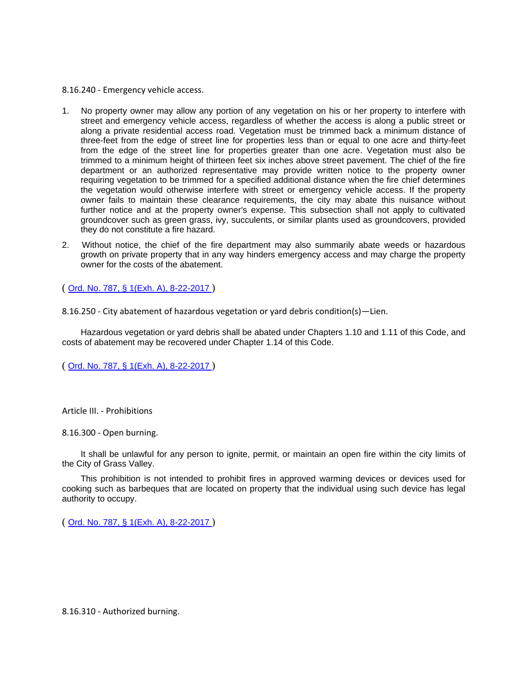8.16.240 - Emergency vehicle access.

- 1. No property owner may allow any portion of any vegetation on his or her property to interfere with street and emergency vehicle access, regardless of whether the access is along a public street or along a private residential access road. Vegetation must be trimmed back a minimum distance of three-feet from the edge of street line for properties less than or equal to one acre and thirty-feet from the edge of the street line for properties greater than one acre. Vegetation must also be trimmed to a minimum height of thirteen feet six inches above street pavement. The chief of the fire department or an authorized representative may provide written notice to the property owner requiring vegetation to be trimmed for a specified additional distance when the fire chief determines the vegetation would otherwise interfere with street or emergency vehicle access. If the property owner fails to maintain these clearance requirements, the city may abate this nuisance without further notice and at the property owner's expense. This subsection shall not apply to cultivated groundcover such as green grass, ivy, succulents, or similar plants used as groundcovers, provided they do not constitute a fire hazard.
- 2. Without notice, the chief of the fire department may also summarily abate weeds or hazardous growth on private property that in any way hinders emergency access and may charge the property owner for the costs of the abatement.

( [Ord. No. 787, § 1\(Exh. A\), 8-22-2017](http://newords.municode.com/readordinance.aspx?ordinanceid=856651&datasource=ordbank) )

8.16.250 - City abatement of hazardous vegetation or yard debris condition(s)—Lien.

Hazardous vegetation or yard debris shall be abated under Chapters 1.10 and 1.11 of this Code, and costs of abatement may be recovered under Chapter 1.14 of this Code.

( [Ord. No. 787, § 1\(Exh. A\), 8-22-2017](http://newords.municode.com/readordinance.aspx?ordinanceid=856651&datasource=ordbank) )

Article III. - Prohibitions

8.16.300 - Open burning.

It shall be unlawful for any person to ignite, permit, or maintain an open fire within the city limits of the City of Grass Valley.

This prohibition is not intended to prohibit fires in approved warming devices or devices used for cooking such as barbeques that are located on property that the individual using such device has legal authority to occupy.